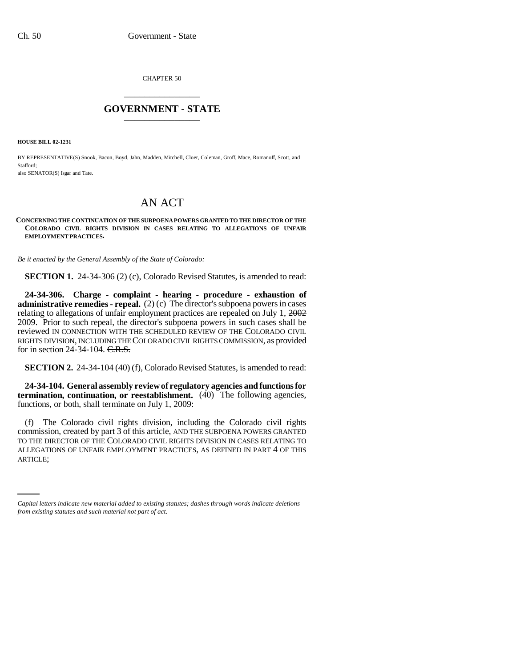CHAPTER 50 \_\_\_\_\_\_\_\_\_\_\_\_\_\_\_

## **GOVERNMENT - STATE** \_\_\_\_\_\_\_\_\_\_\_\_\_\_\_

**HOUSE BILL 02-1231**

BY REPRESENTATIVE(S) Snook, Bacon, Boyd, Jahn, Madden, Mitchell, Cloer, Coleman, Groff, Mace, Romanoff, Scott, and Stafford; also SENATOR(S) Isgar and Tate.

## AN ACT

## **CONCERNING THE CONTINUATION OF THE SUBPOENA POWERS GRANTED TO THE DIRECTOR OF THE COLORADO CIVIL RIGHTS DIVISION IN CASES RELATING TO ALLEGATIONS OF UNFAIR EMPLOYMENT PRACTICES.**

*Be it enacted by the General Assembly of the State of Colorado:*

**SECTION 1.** 24-34-306 (2) (c), Colorado Revised Statutes, is amended to read:

**24-34-306. Charge - complaint - hearing - procedure - exhaustion of administrative remedies - repeal.** (2) (c) The director's subpoena powers in cases relating to allegations of unfair employment practices are repealed on July 1, 2002 2009. Prior to such repeal, the director's subpoena powers in such cases shall be reviewed IN CONNECTION WITH THE SCHEDULED REVIEW OF THE COLORADO CIVIL RIGHTS DIVISION, INCLUDING THE COLORADO CIVIL RIGHTS COMMISSION, as provided for in section 24-34-104. C.R.S.

**SECTION 2.** 24-34-104 (40) (f), Colorado Revised Statutes, is amended to read:

**24-34-104. General assembly review of regulatory agencies and functions for termination, continuation, or reestablishment.** (40) The following agencies, functions, or both, shall terminate on July 1, 2009:

ALLEGATIONS OF UNFAIR EMPLOYMENT PRACTICES, AS DEFINED IN PART 4 OF THIS (f) The Colorado civil rights division, including the Colorado civil rights commission, created by part 3 of this article, AND THE SUBPOENA POWERS GRANTED TO THE DIRECTOR OF THE COLORADO CIVIL RIGHTS DIVISION IN CASES RELATING TO ARTICLE;

*Capital letters indicate new material added to existing statutes; dashes through words indicate deletions from existing statutes and such material not part of act.*